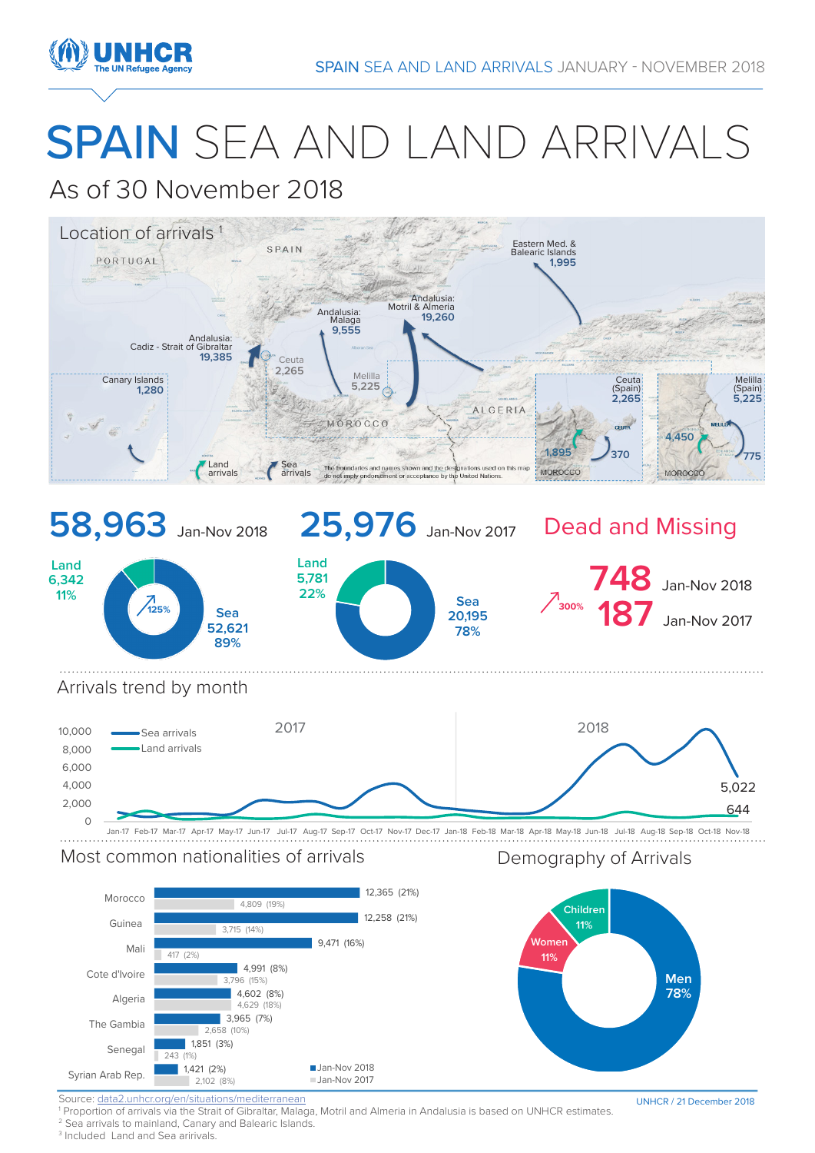

# SPAIN SEA AND LAND ARRIVALS

## As of 30 November 2018



## Most common nationalities of arrivals **Example 20 Seaps** Demography of Arrivals



Source: data2.unhcr.org/en/situations/mediterranean

1 Proportion of arrivals via the Strait of Gibraltar, Malaga, Motril and Almeria in Andalusia is based on UNHCR estimates.

<sup>2</sup> Sea arrivals to mainland, Canary and Balearic Islands.

<sup>3</sup> Included Land and Sea aririvals.

UNHCR / 21 December 2018